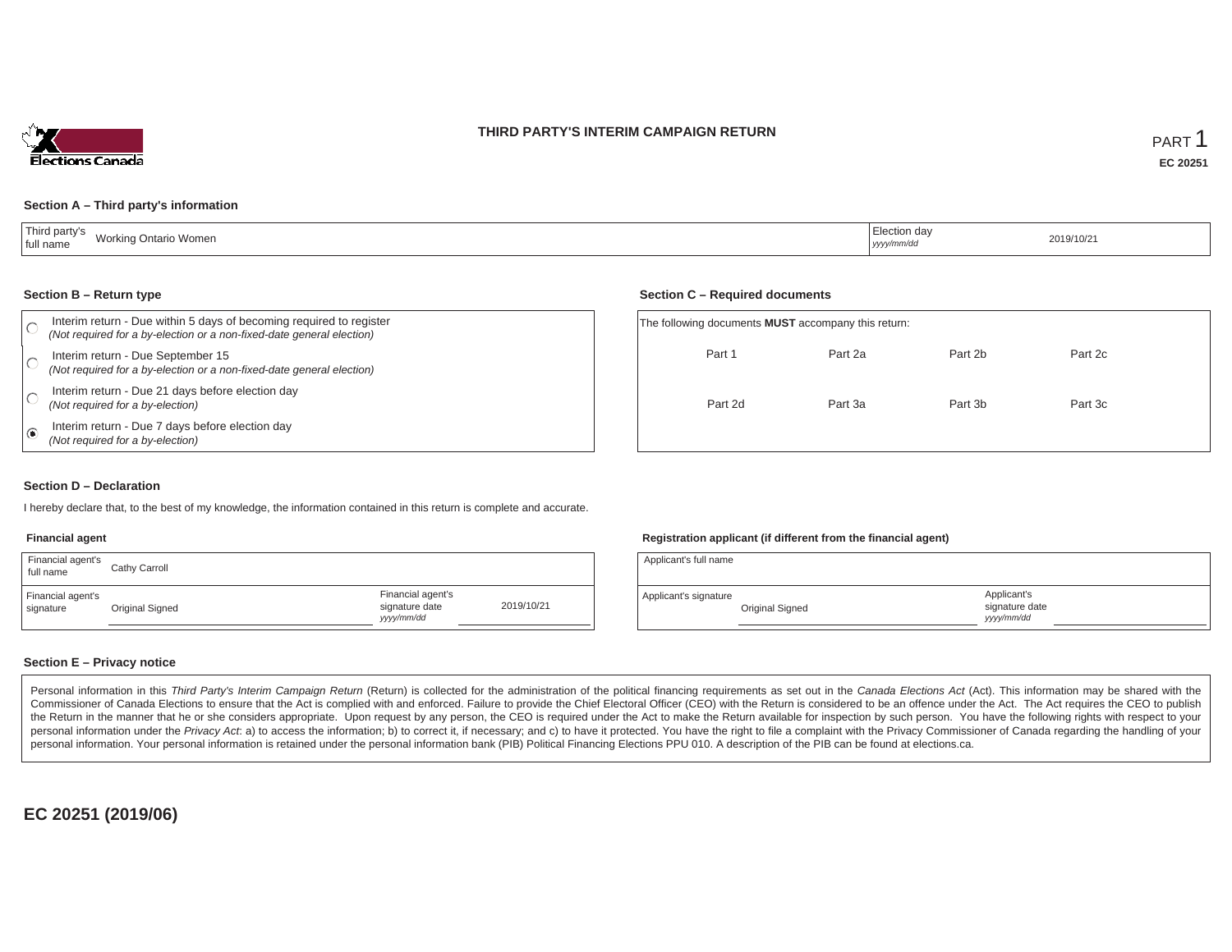



### **Section A – Third party's information**

| ب رجود ا<br>Third party's<br>Working Ontario Women<br>full name | Election day<br>yyyy/mm/dd | 2019/10/21 |
|-----------------------------------------------------------------|----------------------------|------------|
|-----------------------------------------------------------------|----------------------------|------------|

#### **Section B – Return type**

| Interim return - Due within 5 days of becoming required to register<br>(Not required for a by-election or a non-fixed-date general election) |  | The following documents <b>MUST</b> accompany this return: |         |         |         |
|----------------------------------------------------------------------------------------------------------------------------------------------|--|------------------------------------------------------------|---------|---------|---------|
| Interim return - Due September 15<br>(Not required for a by-election or a non-fixed-date general election)                                   |  | Part                                                       | Part 2a | Part 2b | Part 2c |
| Interim return - Due 21 days before election day<br>(Not required for a by-election)                                                         |  | Part 2d                                                    | Part 3a | Part 3b | Part 3c |
| Interim return - Due 7 days before election day<br>(Not required for a by-election)                                                          |  |                                                            |         |         |         |

### **Section D – Declaration**

I hereby declare that, to the best of my knowledge, the information contained in this return is complete and accurate.

### **Financial agent**

| Financial agent's<br>full name | Cathy Carroll   |                                                  |            |
|--------------------------------|-----------------|--------------------------------------------------|------------|
| Financial agent's<br>signature | Original Signed | Financial agent's<br>signature date<br>yyy/mm/dd | 2019/10/21 |

### **Registration applicant (if different from the financial agent)**

**Section C – Required documents**

| Applicant's full name |                 |                                             |  |
|-----------------------|-----------------|---------------------------------------------|--|
| Applicant's signature | Original Signed | Applicant's<br>signature date<br>vyyy/mm/dd |  |

### **Section E – Privacy notice**

Personal information in this Third Party's Interim Campaign Return (Return) is collected for the administration of the political financing requirements as set out in the Canada Elections Act (Act). This information may be Commissioner of Canada Elections to ensure that the Act is complied with and enforced. Failure to provide the Chief Electoral Officer (CEO) with the Return is considered to be an offence under the Act. The Act requires the the Return in the manner that he or she considers appropriate. Upon request by any person, the CEO is required under the Act to make the Return available for inspection by such person. You have the following rights with re personal information under the Privacy Act. a) to access the information; b) to correct it, if necessary; and c) to have it protected. You have the right to file a complaint with the Privacy Commissioner of Canada regardin personal information. Your personal information is retained under the personal information bank (PIB) Political Financing Elections PPU 010. A description of the PIB can be found at elections.ca.

**EC 20251 (2019/06)**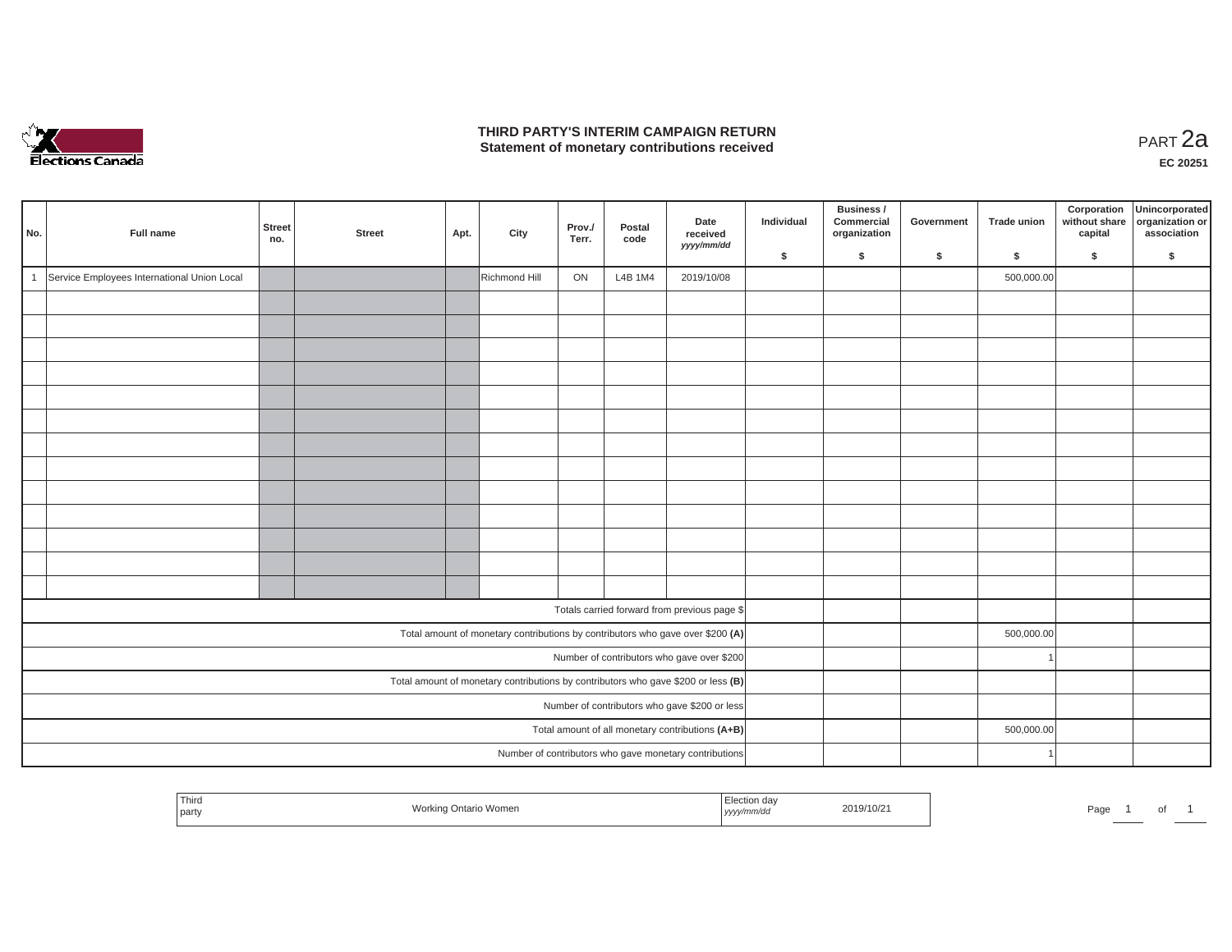

## **THIRD PARTY'S INTERIM CAMPAIGN RETURN THIRD PARTY'S INTERIM CAMPAIGN RETURN<br>Statement of monetary contributions received PART 2a**

| No. | Full name                                     | Street<br>no.                                    | <b>Street</b> | Apt. | City          | Prov./<br>Terr. | Postal<br>code | Date<br>received<br>yyyy/mm/dd                                                    | Individual | Business /<br>Commercial<br>organization | Government | <b>Trade union</b> | Corporation<br>without share<br>capital | Unincorporated<br>organization or<br>association |
|-----|-----------------------------------------------|--------------------------------------------------|---------------|------|---------------|-----------------|----------------|-----------------------------------------------------------------------------------|------------|------------------------------------------|------------|--------------------|-----------------------------------------|--------------------------------------------------|
|     |                                               |                                                  |               |      |               |                 |                |                                                                                   | \$         | \$                                       | \$         | -S                 | \$                                      | S.                                               |
| -1  | Service Employees International Union Local   |                                                  |               |      | Richmond Hill | ON              | L4B 1M4        | 2019/10/08                                                                        |            |                                          |            | 500,000.00         |                                         |                                                  |
|     |                                               |                                                  |               |      |               |                 |                |                                                                                   |            |                                          |            |                    |                                         |                                                  |
|     |                                               |                                                  |               |      |               |                 |                |                                                                                   |            |                                          |            |                    |                                         |                                                  |
|     |                                               |                                                  |               |      |               |                 |                |                                                                                   |            |                                          |            |                    |                                         |                                                  |
|     |                                               |                                                  |               |      |               |                 |                |                                                                                   |            |                                          |            |                    |                                         |                                                  |
|     |                                               |                                                  |               |      |               |                 |                |                                                                                   |            |                                          |            |                    |                                         |                                                  |
|     |                                               |                                                  |               |      |               |                 |                |                                                                                   |            |                                          |            |                    |                                         |                                                  |
|     |                                               |                                                  |               |      |               |                 |                |                                                                                   |            |                                          |            |                    |                                         |                                                  |
|     |                                               |                                                  |               |      |               |                 |                |                                                                                   |            |                                          |            |                    |                                         |                                                  |
|     |                                               |                                                  |               |      |               |                 |                |                                                                                   |            |                                          |            |                    |                                         |                                                  |
|     |                                               |                                                  |               |      |               |                 |                |                                                                                   |            |                                          |            |                    |                                         |                                                  |
|     |                                               |                                                  |               |      |               |                 |                |                                                                                   |            |                                          |            |                    |                                         |                                                  |
|     |                                               |                                                  |               |      |               |                 |                |                                                                                   |            |                                          |            |                    |                                         |                                                  |
|     |                                               |                                                  |               |      |               |                 |                |                                                                                   |            |                                          |            |                    |                                         |                                                  |
|     |                                               |                                                  |               |      |               |                 |                | Totals carried forward from previous page \$                                      |            |                                          |            |                    |                                         |                                                  |
|     |                                               |                                                  |               |      |               |                 |                | Total amount of monetary contributions by contributors who gave over \$200 (A)    |            |                                          |            | 500,000.00         |                                         |                                                  |
|     |                                               |                                                  |               |      |               |                 |                | Number of contributors who gave over \$200                                        |            |                                          |            |                    |                                         |                                                  |
|     |                                               |                                                  |               |      |               |                 |                | Total amount of monetary contributions by contributors who gave \$200 or less (B) |            |                                          |            |                    |                                         |                                                  |
|     | Number of contributors who gave \$200 or less |                                                  |               |      |               |                 |                |                                                                                   |            |                                          |            |                    |                                         |                                                  |
|     |                                               | Total amount of all monetary contributions (A+B) |               |      |               | 500,000.00      |                |                                                                                   |            |                                          |            |                    |                                         |                                                  |
|     |                                               |                                                  |               |      |               |                 |                | Number of contributors who gave monetary contributions                            |            |                                          |            |                    |                                         |                                                  |

| Third<br>part | $M = 1$<br>vvonner | , , , , , | 2019/10/21 | Page | ັ |
|---------------|--------------------|-----------|------------|------|---|
|               |                    |           |            |      |   |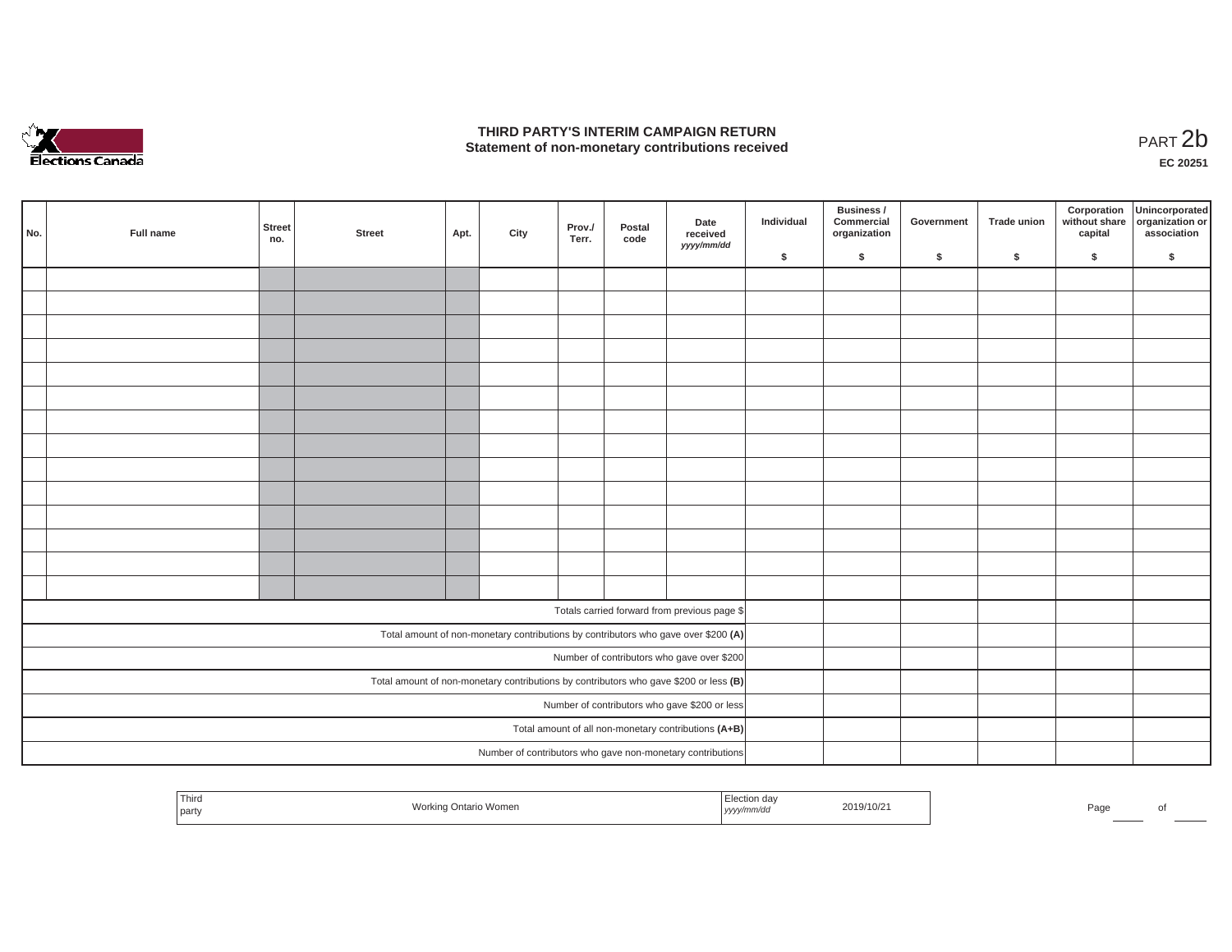

## **THIRD PARTY'S INTERIM CAMPAIGN RETURN**  THIRD PARTY'S INTERIM CAMPAIGN RETURN<br>Statement of non-monetary contributions received<br>**PART 2**b

**EC 20251**

| No.                                                                                   | Full name | <b>Street</b><br>no.                                 | <b>Street</b> | Apt. | City | Prov./<br>Terr. | Postal<br>code | Date<br>received<br>yyyy/mm/dd                                                     | Individual | Business /<br>Commercial<br>organization | Government | Trade union | Corporation<br>without share<br>capital | Unincorporated<br>organization or<br>association |
|---------------------------------------------------------------------------------------|-----------|------------------------------------------------------|---------------|------|------|-----------------|----------------|------------------------------------------------------------------------------------|------------|------------------------------------------|------------|-------------|-----------------------------------------|--------------------------------------------------|
|                                                                                       |           |                                                      |               |      |      |                 |                |                                                                                    | \$         | \$                                       | \$         | \$          | \$                                      | \$                                               |
|                                                                                       |           |                                                      |               |      |      |                 |                |                                                                                    |            |                                          |            |             |                                         |                                                  |
|                                                                                       |           |                                                      |               |      |      |                 |                |                                                                                    |            |                                          |            |             |                                         |                                                  |
|                                                                                       |           |                                                      |               |      |      |                 |                |                                                                                    |            |                                          |            |             |                                         |                                                  |
|                                                                                       |           |                                                      |               |      |      |                 |                |                                                                                    |            |                                          |            |             |                                         |                                                  |
|                                                                                       |           |                                                      |               |      |      |                 |                |                                                                                    |            |                                          |            |             |                                         |                                                  |
|                                                                                       |           |                                                      |               |      |      |                 |                |                                                                                    |            |                                          |            |             |                                         |                                                  |
|                                                                                       |           |                                                      |               |      |      |                 |                |                                                                                    |            |                                          |            |             |                                         |                                                  |
|                                                                                       |           |                                                      |               |      |      |                 |                |                                                                                    |            |                                          |            |             |                                         |                                                  |
|                                                                                       |           |                                                      |               |      |      |                 |                |                                                                                    |            |                                          |            |             |                                         |                                                  |
|                                                                                       |           |                                                      |               |      |      |                 |                |                                                                                    |            |                                          |            |             |                                         |                                                  |
|                                                                                       |           |                                                      |               |      |      |                 |                |                                                                                    |            |                                          |            |             |                                         |                                                  |
|                                                                                       |           |                                                      |               |      |      |                 |                |                                                                                    |            |                                          |            |             |                                         |                                                  |
|                                                                                       |           |                                                      |               |      |      |                 |                |                                                                                    |            |                                          |            |             |                                         |                                                  |
|                                                                                       |           |                                                      |               |      |      |                 |                |                                                                                    |            |                                          |            |             |                                         |                                                  |
|                                                                                       |           |                                                      |               |      |      |                 |                | Totals carried forward from previous page \$                                       |            |                                          |            |             |                                         |                                                  |
|                                                                                       |           |                                                      |               |      |      |                 |                | Total amount of non-monetary contributions by contributors who gave over \$200 (A) |            |                                          |            |             |                                         |                                                  |
|                                                                                       |           |                                                      |               |      |      |                 |                | Number of contributors who gave over \$200                                         |            |                                          |            |             |                                         |                                                  |
| Total amount of non-monetary contributions by contributors who gave \$200 or less (B) |           |                                                      |               |      |      |                 |                |                                                                                    |            |                                          |            |             |                                         |                                                  |
| Number of contributors who gave \$200 or less                                         |           |                                                      |               |      |      |                 |                |                                                                                    |            |                                          |            |             |                                         |                                                  |
|                                                                                       |           | Total amount of all non-monetary contributions (A+B) |               |      |      |                 |                |                                                                                    |            |                                          |            |             |                                         |                                                  |
|                                                                                       |           |                                                      |               |      |      |                 |                | Number of contributors who gave non-monetary contributions                         |            |                                          |            |             |                                         |                                                  |

| Third |                             | - Ga                      |            | n.  |  |
|-------|-----------------------------|---------------------------|------------|-----|--|
| party | n Womer.<br>"AOLK"<br>nrarı | 'nm/ac<br>, <i>yyyyır</i> | 2019/10/21 | rau |  |
|       |                             |                           |            |     |  |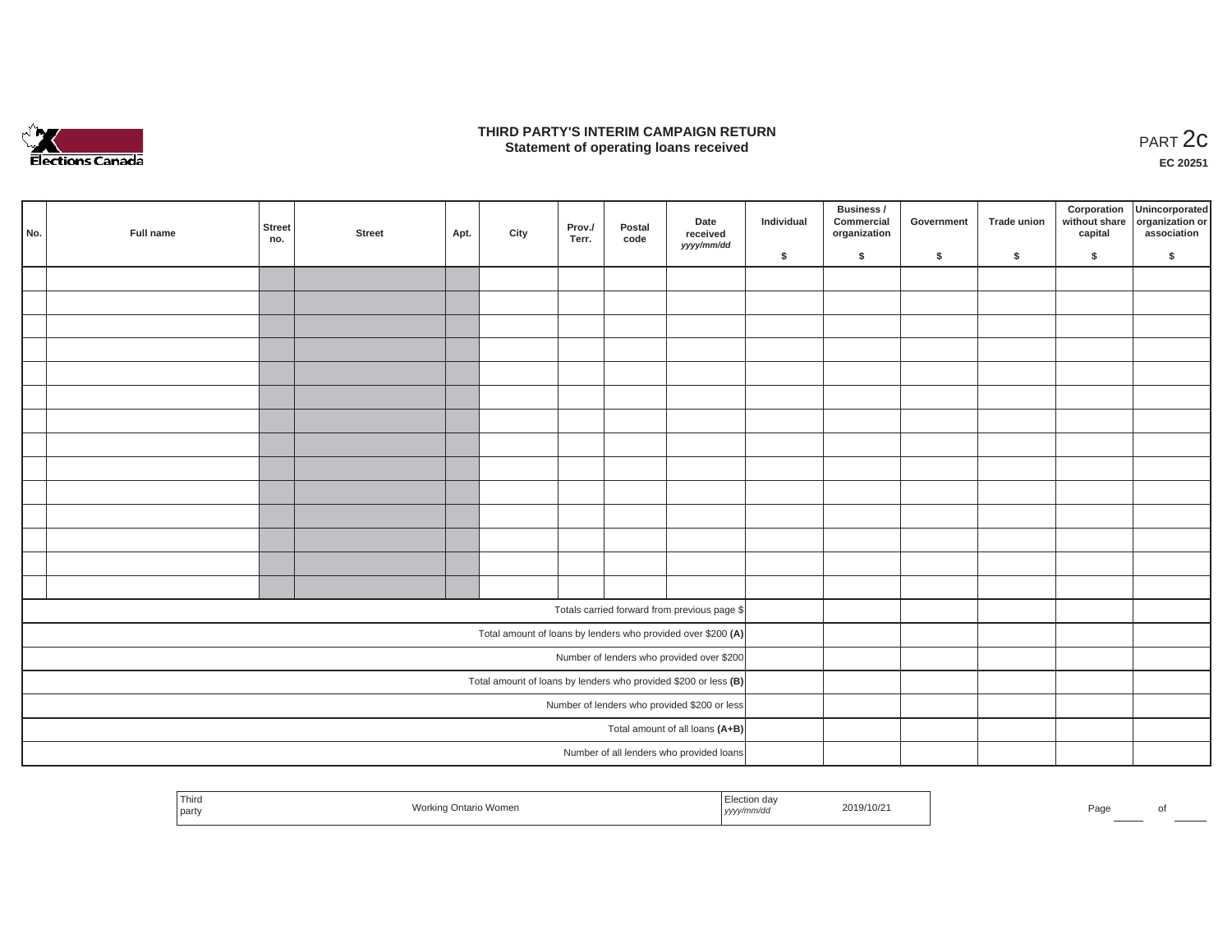

### **THIRD PARTY'S INTERIM CAMPAIGN RETURN**  RD PARTY'S INTERIM CAMPAIGN RETURN<br>Statement of operating loans received **PART 2c**

**EC 20251**

| No.                                          | Full name                                                       | Street<br>no.                   | <b>Street</b> | Apt. | City | Prov./<br>Terr. | Postal<br>code | Date<br>received<br>yyyy/mm/dd                               | Individual | <b>Business /</b><br>Commercial<br>organization | Government | Trade union | Corporation<br>capital | Unincorporated<br>without share organization or<br>association |
|----------------------------------------------|-----------------------------------------------------------------|---------------------------------|---------------|------|------|-----------------|----------------|--------------------------------------------------------------|------------|-------------------------------------------------|------------|-------------|------------------------|----------------------------------------------------------------|
|                                              |                                                                 |                                 |               |      |      |                 |                |                                                              | \$         | \$                                              | \$         | \$          | \$                     | \$                                                             |
|                                              |                                                                 |                                 |               |      |      |                 |                |                                                              |            |                                                 |            |             |                        |                                                                |
|                                              |                                                                 |                                 |               |      |      |                 |                |                                                              |            |                                                 |            |             |                        |                                                                |
|                                              |                                                                 |                                 |               |      |      |                 |                |                                                              |            |                                                 |            |             |                        |                                                                |
|                                              |                                                                 |                                 |               |      |      |                 |                |                                                              |            |                                                 |            |             |                        |                                                                |
|                                              |                                                                 |                                 |               |      |      |                 |                |                                                              |            |                                                 |            |             |                        |                                                                |
|                                              |                                                                 |                                 |               |      |      |                 |                |                                                              |            |                                                 |            |             |                        |                                                                |
|                                              |                                                                 |                                 |               |      |      |                 |                |                                                              |            |                                                 |            |             |                        |                                                                |
|                                              |                                                                 |                                 |               |      |      |                 |                |                                                              |            |                                                 |            |             |                        |                                                                |
|                                              |                                                                 |                                 |               |      |      |                 |                |                                                              |            |                                                 |            |             |                        |                                                                |
|                                              |                                                                 |                                 |               |      |      |                 |                |                                                              |            |                                                 |            |             |                        |                                                                |
|                                              |                                                                 |                                 |               |      |      |                 |                |                                                              |            |                                                 |            |             |                        |                                                                |
|                                              |                                                                 |                                 |               |      |      |                 |                |                                                              |            |                                                 |            |             |                        |                                                                |
|                                              |                                                                 |                                 |               |      |      |                 |                |                                                              |            |                                                 |            |             |                        |                                                                |
|                                              |                                                                 |                                 |               |      |      |                 |                |                                                              |            |                                                 |            |             |                        |                                                                |
|                                              |                                                                 |                                 |               |      |      |                 |                |                                                              |            |                                                 |            |             |                        |                                                                |
|                                              | Totals carried forward from previous page \$                    |                                 |               |      |      |                 |                |                                                              |            |                                                 |            |             |                        |                                                                |
|                                              |                                                                 |                                 |               |      |      |                 |                | Total amount of loans by lenders who provided over \$200 (A) |            |                                                 |            |             |                        |                                                                |
|                                              |                                                                 |                                 |               |      |      |                 |                | Number of lenders who provided over \$200                    |            |                                                 |            |             |                        |                                                                |
|                                              | Total amount of loans by lenders who provided \$200 or less (B) |                                 |               |      |      |                 |                |                                                              |            |                                                 |            |             |                        |                                                                |
| Number of lenders who provided \$200 or less |                                                                 |                                 |               |      |      |                 |                |                                                              |            |                                                 |            |             |                        |                                                                |
|                                              |                                                                 | Total amount of all loans (A+B) |               |      |      |                 |                |                                                              |            |                                                 |            |             |                        |                                                                |
|                                              |                                                                 |                                 |               |      |      |                 |                | Number of all lenders who provided loans                     |            |                                                 |            |             |                        |                                                                |
|                                              |                                                                 |                                 |               |      |      |                 |                |                                                              |            |                                                 |            |             |                        |                                                                |

| Thira<br>I part | <b>Working</b><br>ing Ontario Women | Election day<br>yyyy/mm/aa | 2019/10/2 | Page | of |
|-----------------|-------------------------------------|----------------------------|-----------|------|----|
|                 |                                     |                            |           |      |    |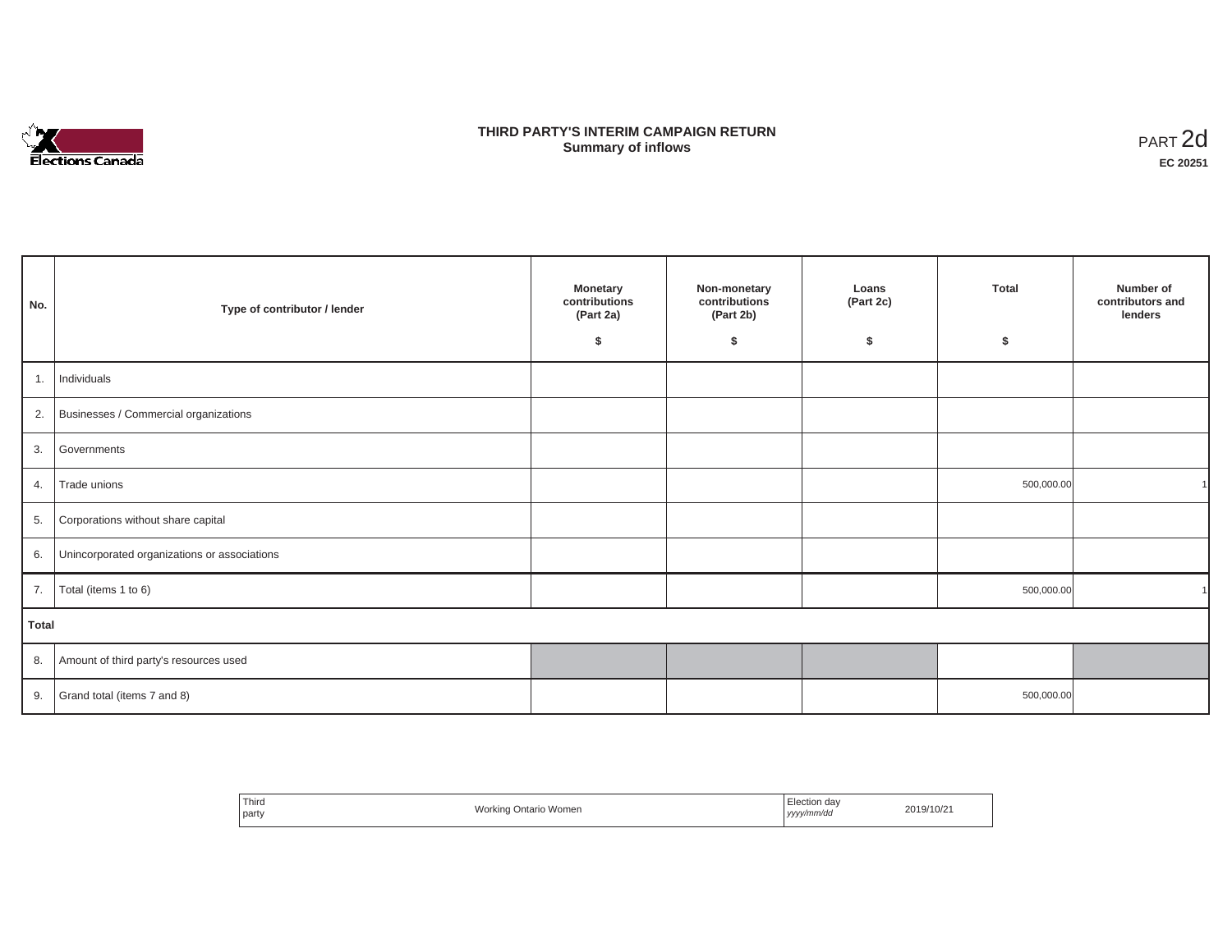

## **THIRD PARTY'S INTERIM CAMPAIGN RETURN SUMMARY STATE SUMMARY OF A SUMMARY OF A SUMMARY OF A SUMMARY OF A SUMMARY OF A SUMMARY OF A SUMMARY OF A SUMMA**<br> **Summary of inflows**

| No.   | Type of contributor / lender                 | <b>Monetary</b><br>contributions<br>(Part 2a)<br>Ŝ. | Non-monetary<br>contributions<br>(Part 2b)<br>\$ | Loans<br>(Part 2c)<br>\$ | <b>Total</b><br>s. | Number of<br>contributors and<br>lenders |
|-------|----------------------------------------------|-----------------------------------------------------|--------------------------------------------------|--------------------------|--------------------|------------------------------------------|
|       | 1. Individuals                               |                                                     |                                                  |                          |                    |                                          |
|       | 2. Businesses / Commercial organizations     |                                                     |                                                  |                          |                    |                                          |
| 3.    | Governments                                  |                                                     |                                                  |                          |                    |                                          |
| 4.    | Trade unions                                 |                                                     |                                                  |                          | 500,000.00         |                                          |
| 5.    | Corporations without share capital           |                                                     |                                                  |                          |                    |                                          |
| 6.    | Unincorporated organizations or associations |                                                     |                                                  |                          |                    |                                          |
| 7.    | Total (items 1 to 6)                         |                                                     |                                                  |                          | 500,000.00         |                                          |
| Total |                                              |                                                     |                                                  |                          |                    |                                          |
|       | 8. Amount of third party's resources used    |                                                     |                                                  |                          |                    |                                          |
|       | 9. Grand total (items $7$ and $8$ )          |                                                     |                                                  |                          | 500,000.00         |                                          |

| Third<br>party | Working Ontario Women | --<br>Election day<br>$\sim$<br>yyyy/mm/da<br>,,,,,<br>. | 2019/10/21 |
|----------------|-----------------------|----------------------------------------------------------|------------|
|----------------|-----------------------|----------------------------------------------------------|------------|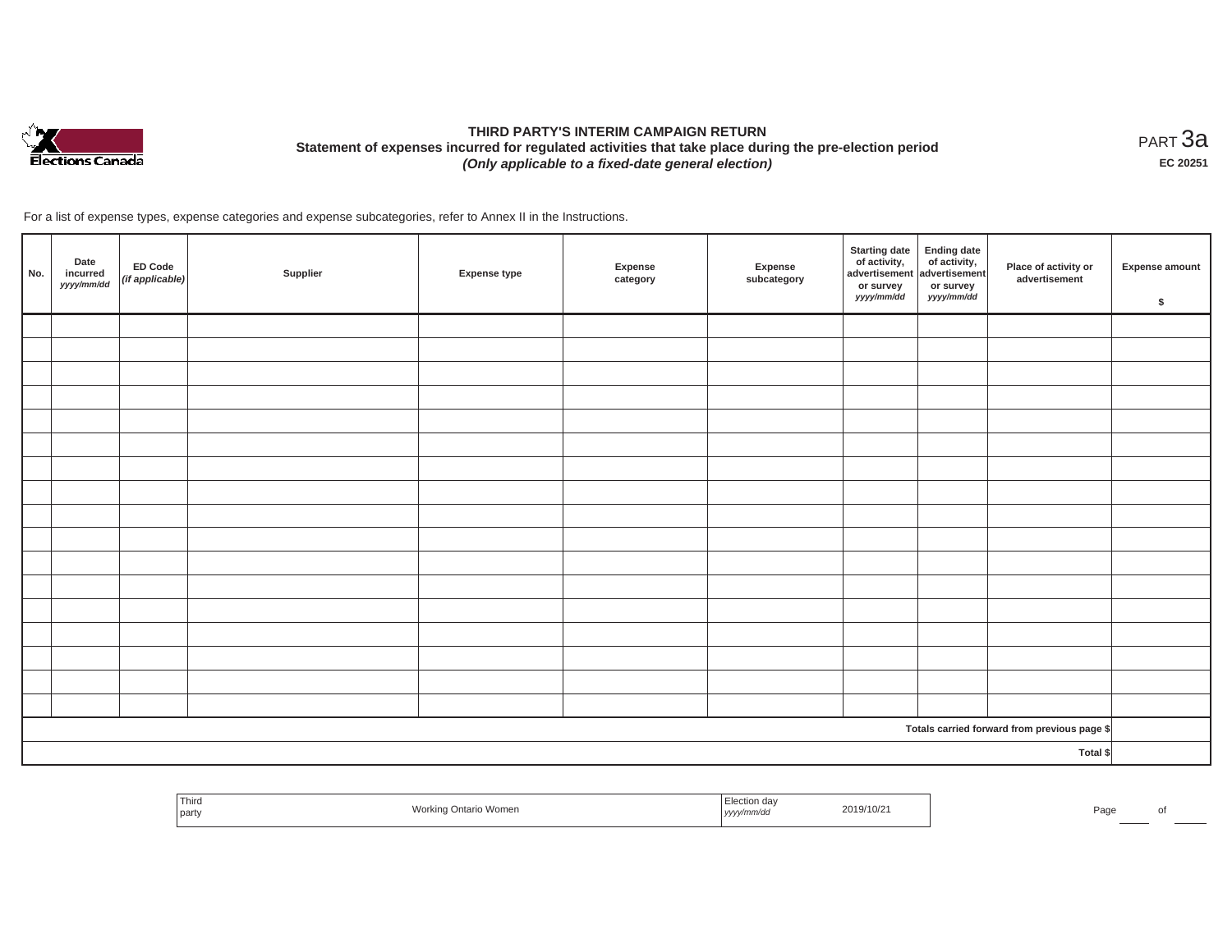

# **THIRD PARTY'S INTERIM CAMPAIGN RETURN Statement of expenses incurred for regulated activities that take place during the pre-election period**  *(Only applicable to a fixed-date general election)*

<code>PART $3$ a</code> **EC 20251**

For a list of expense types, expense categories and expense subcategories, refer to Annex II in the Instructions.

| No.                                          | Date<br>incurred<br>yyyy/mm/dd | <b>ED Code</b><br>(if applicable) | Supplier | <b>Expense type</b> | Expense<br>category | Expense<br>subcategory | <b>Starting date</b><br>of activity, $\begin{vmatrix} 1 & 1 \\ 0 & 0 \end{vmatrix}$ of activity,<br>or survey<br>yyyy/mm/dd | <b>Ending date</b><br>or survey<br>yyyy/mm/dd | Place of activity or<br>advertisement | <b>Expense amount</b><br>$\sqrt[6]{\frac{1}{2}}$ |
|----------------------------------------------|--------------------------------|-----------------------------------|----------|---------------------|---------------------|------------------------|-----------------------------------------------------------------------------------------------------------------------------|-----------------------------------------------|---------------------------------------|--------------------------------------------------|
|                                              |                                |                                   |          |                     |                     |                        |                                                                                                                             |                                               |                                       |                                                  |
|                                              |                                |                                   |          |                     |                     |                        |                                                                                                                             |                                               |                                       |                                                  |
|                                              |                                |                                   |          |                     |                     |                        |                                                                                                                             |                                               |                                       |                                                  |
|                                              |                                |                                   |          |                     |                     |                        |                                                                                                                             |                                               |                                       |                                                  |
|                                              |                                |                                   |          |                     |                     |                        |                                                                                                                             |                                               |                                       |                                                  |
|                                              |                                |                                   |          |                     |                     |                        |                                                                                                                             |                                               |                                       |                                                  |
|                                              |                                |                                   |          |                     |                     |                        |                                                                                                                             |                                               |                                       |                                                  |
|                                              |                                |                                   |          |                     |                     |                        |                                                                                                                             |                                               |                                       |                                                  |
|                                              |                                |                                   |          |                     |                     |                        |                                                                                                                             |                                               |                                       |                                                  |
|                                              |                                |                                   |          |                     |                     |                        |                                                                                                                             |                                               |                                       |                                                  |
|                                              |                                |                                   |          |                     |                     |                        |                                                                                                                             |                                               |                                       |                                                  |
|                                              |                                |                                   |          |                     |                     |                        |                                                                                                                             |                                               |                                       |                                                  |
|                                              |                                |                                   |          |                     |                     |                        |                                                                                                                             |                                               |                                       |                                                  |
|                                              |                                |                                   |          |                     |                     |                        |                                                                                                                             |                                               |                                       |                                                  |
|                                              |                                |                                   |          |                     |                     |                        |                                                                                                                             |                                               |                                       |                                                  |
|                                              |                                |                                   |          |                     |                     |                        |                                                                                                                             |                                               |                                       |                                                  |
|                                              |                                |                                   |          |                     |                     |                        |                                                                                                                             |                                               |                                       |                                                  |
| Totals carried forward from previous page \$ |                                |                                   |          |                     |                     |                        |                                                                                                                             |                                               |                                       |                                                  |
|                                              |                                |                                   |          |                     |                     |                        |                                                                                                                             |                                               | Total \$                              |                                                  |

| Third<br>tion dav:<br>2019/10/21<br>Worki.<br><b>Women</b><br>ੋ≏⊴ Ontario v√<br>.<br>l partv<br>$1$ yyyy $\prime$ | Page |  |
|-------------------------------------------------------------------------------------------------------------------|------|--|
|-------------------------------------------------------------------------------------------------------------------|------|--|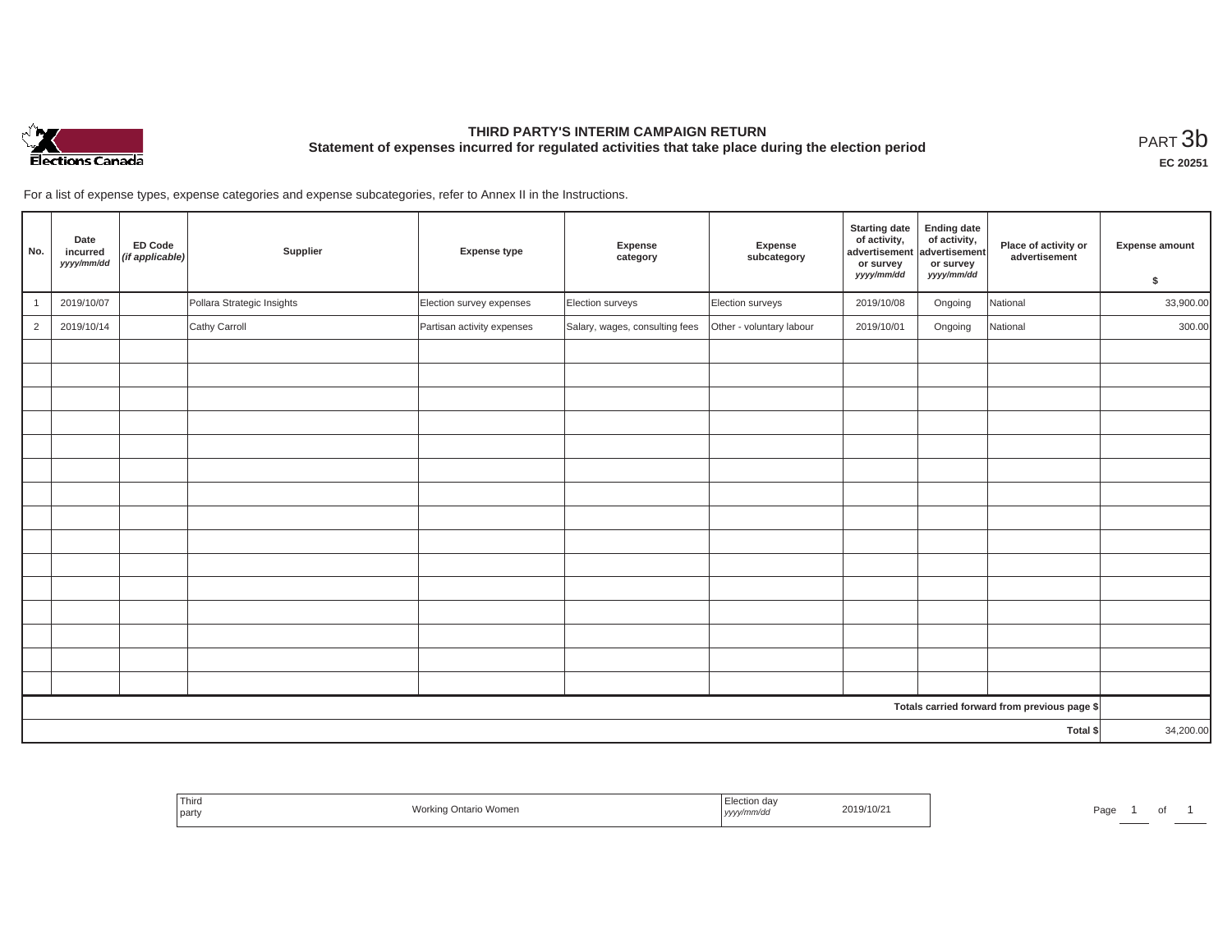

# **THIRD PARTY'S INTERIM CAMPAIGN RETURN Statement of expenses incurred for regulated activities that take place during the election period**<br>PART  $3\text{b}$

**EC 20251**

For a list of expense types, expense categories and expense subcategories, refer to Annex II in the Instructions.

| No.            | Date<br>incurred<br>yyyy/mm/dd | ED Code<br>(if applicable) | Supplier                   | <b>Expense type</b>        | Expense<br>category            | Expense<br>subcategory   | <b>Starting date</b><br>of activity,<br>advertisement<br>or survey<br>yyyy/mm/dd | <b>Ending date</b><br>of activity,<br>advertisement<br>or survey<br>yyyy/mm/dd | Place of activity or<br>advertisement        | <b>Expense amount</b><br>\$ |
|----------------|--------------------------------|----------------------------|----------------------------|----------------------------|--------------------------------|--------------------------|----------------------------------------------------------------------------------|--------------------------------------------------------------------------------|----------------------------------------------|-----------------------------|
|                | 2019/10/07                     |                            | Pollara Strategic Insights | Election survey expenses   | Election surveys               | Election surveys         | 2019/10/08                                                                       | Ongoing                                                                        | National                                     | 33,900.00                   |
| $\overline{2}$ | 2019/10/14                     |                            | Cathy Carroll              | Partisan activity expenses | Salary, wages, consulting fees | Other - voluntary labour | 2019/10/01                                                                       | Ongoing                                                                        | National                                     | 300.00                      |
|                |                                |                            |                            |                            |                                |                          |                                                                                  |                                                                                |                                              |                             |
|                |                                |                            |                            |                            |                                |                          |                                                                                  |                                                                                |                                              |                             |
|                |                                |                            |                            |                            |                                |                          |                                                                                  |                                                                                |                                              |                             |
|                |                                |                            |                            |                            |                                |                          |                                                                                  |                                                                                |                                              |                             |
|                |                                |                            |                            |                            |                                |                          |                                                                                  |                                                                                |                                              |                             |
|                |                                |                            |                            |                            |                                |                          |                                                                                  |                                                                                |                                              |                             |
|                |                                |                            |                            |                            |                                |                          |                                                                                  |                                                                                |                                              |                             |
|                |                                |                            |                            |                            |                                |                          |                                                                                  |                                                                                |                                              |                             |
|                |                                |                            |                            |                            |                                |                          |                                                                                  |                                                                                |                                              |                             |
|                |                                |                            |                            |                            |                                |                          |                                                                                  |                                                                                |                                              |                             |
|                |                                |                            |                            |                            |                                |                          |                                                                                  |                                                                                |                                              |                             |
|                |                                |                            |                            |                            |                                |                          |                                                                                  |                                                                                |                                              |                             |
|                |                                |                            |                            |                            |                                |                          |                                                                                  |                                                                                |                                              |                             |
|                |                                |                            |                            |                            |                                |                          |                                                                                  |                                                                                |                                              |                             |
|                |                                |                            |                            |                            |                                |                          |                                                                                  |                                                                                |                                              |                             |
|                |                                |                            |                            |                            |                                |                          |                                                                                  |                                                                                | Totals carried forward from previous page \$ |                             |
|                |                                |                            |                            |                            |                                |                          |                                                                                  |                                                                                | Total \$                                     | 34,200.00                   |

| Third<br><b>Worki</b><br>o Ontario Women<br>party | 2019/10/2<br>  yyyy/mm/dd | Page |
|---------------------------------------------------|---------------------------|------|
|---------------------------------------------------|---------------------------|------|